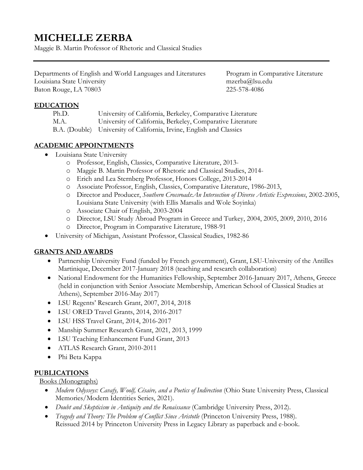# **MICHELLE ZERBA**

Maggie B. Martin Professor of Rhetoric and Classical Studies<br>Departments of English and World Languages and Literatures Program in Comparative Literature Departments of English and World Languages and Literatures Louisiana State University [mzerba@lsu.edu](mailto:mzerba@lsu.edu)  Baton Rouge, LA 70803 225-578-4086

### **EDUCATION**

| Ph.D. | University of California, Berkeley, Comparative Literature           |
|-------|----------------------------------------------------------------------|
| M.A.  | University of California, Berkeley, Comparative Literature           |
|       | B.A. (Double) University of California, Irvine, English and Classics |

### **ACADEMIC APPOINTMENTS**

- Louisiana State University
	- o Professor, English, Classics, Comparative Literature, 2013-
	- o Maggie B. Martin Professor of Rhetoric and Classical Studies, 2014-
	- o Erich and Lea Sternberg Professor, Honors College, 2013-2014
	- o Associate Professor, English, Classics, Comparative Literature, 1986-2013,
	- o Director and Producer, *Southern Crossroads*:*An Intersection of Diverse Artistic Expressions*, 2002-2005, Louisiana State University (with Ellis Marsalis and Wole Soyinka)
	- o Associate Chair of English, 2003-2004
	- o Director, LSU Study Abroad Program in Greece and Turkey, 2004, 2005, 2009, 2010, 2016
	- o Director, Program in Comparative Literature, 1988-91
- University of Michigan, Assistant Professor, Classical Studies, 1982-86

# **GRANTS AND AWARDS**

- Partnership University Fund (funded by French government), Grant, LSU-University of the Antilles Martinique, December 2017-January 2018 (teaching and research collaboration)
- National Endowment for the Humanities Fellowship, September 2016-January 2017, Athens, Greece (held in conjunction with Senior Associate Membership, American School of Classical Studies at Athens), September 2016-May 2017)
- LSU Regents' Research Grant, 2007, 2014, 2018
- LSU ORED Travel Grants, 2014, 2016-2017
- LSU HSS Travel Grant, 2014, 2016-2017
- Manship Summer Research Grant, 2021, 2013, 1999
- LSU Teaching Enhancement Fund Grant, 2013
- ATLAS Research Grant, 2010-2011
- Phi Beta Kappa

# **PUBLICATIONS**

Books (Monographs)

- *Modern Odysseys: Cavafy, Woolf, Césaire, and a Poetics of Indirection (Ohio State University Press, Classical* Memories/Modern Identities Series, 2021).
- *Doubt and Skepticism in Antiquity and the Renaissance* (Cambridge University Press, 2012).
- *Tragedy and Theory: The Problem of Conflict Since Aristotle* (Princeton University Press, 1988). Reissued 2014 by Princeton University Press in Legacy Library as paperback and e-book.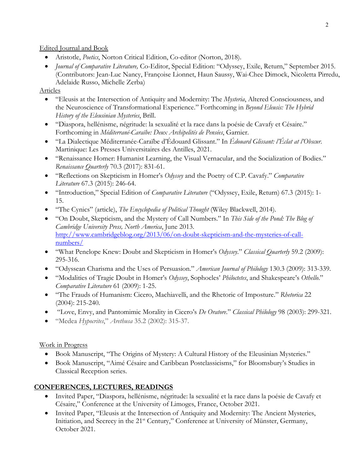Edited Journal and Book

- Aristotle, *Poetics*, Norton Critical Edition, Co-editor (Norton, 2018).
- *Journal of Comparative Literature,* Co-Editor, Special Edition: "Odyssey, Exile, Return," September 2015. (Contributors: Jean-Luc Nancy, Françoise Lionnet, Haun Saussy, Wai-Chee Dimock, Nicoletta Pirredu, Adelaide Russo, Michelle Zerba)

#### Articles

- "Eleusis at the Intersection of Antiquity and Modernity: The *Mysteria*, Altered Consciousness, and the Neuroscience of Transformational Experience." Forthcoming in *Beyond Eleusis: The Hybrid History of the Eleusinian Mysteries*, Brill.
- "Diaspora, hellénisme, négritude: la sexualité et la race dans la poésie de Cavafy et Césaire." Forthcoming in *Méditerrané-Caraïbe: Deux Archipelités de Pensées*, Garnier.
- "La Dialectique Méditerranée-Caraïbe d'Édouard Glissant." In *Édouard Glissant: l'Éclat at l'Obscur*. Martinique: Les Presses Universitaires des Antilles, 2021.
- "Renaissance Homer: Humanist Learning, the Visual Vernacular, and the Socialization of Bodies." *Renaissance Quarterly* 70.3 (2017): 831-61.
- • "Reflections on Skepticism in Homer's *Odyssey* and the Poetry of C.P. Cavafy." *Comparative Literature* 67.3 (2015): 246-64.
- • "Introduction," Special Edition of *Comparative Literature* ("Odyssey, Exile, Return) 67.3 (2015): 1- 15.
- "The Cynics" (article), *The Encyclopedia of Political Thought* (Wiley Blackwell, 2014).
- "On Doubt, Skepticism, and the Mystery of Call Numbers." In *This Side of the Pond: The Blog of Cambridge University Press, North America*, June 2013. [http://www.cambridgeblog.org/2013/06/on-doubt-skepticism-and-the-mysteries-of-call](http://www.cambridgeblog.org/2013/06/on-doubt-skepticism-and-the-mysteries-of-call-numbers/)[numbers/](http://www.cambridgeblog.org/2013/06/on-doubt-skepticism-and-the-mysteries-of-call-numbers/)
- "What Penelope Knew: Doubt and Skepticism in Homer's *Odyssey*." *Classical Quarterly* 59.2 (2009): 295-316.
- "Odyssean Charisma and the Uses of Persuasion." *American Journal of Philology* 130.3 (2009): 313-339.
- "Modalities of Tragic Doubt in Homer's *Odyssey*, Sophocles' *Philoctetes*, and Shakespeare's *Othello*." *Comparative Literature* 61 (2009): 1-25.
- "The Frauds of Humanism: Cicero, Machiavelli, and the Rhetoric of Imposture." *Rhetorica* 22 (2004): 215-240.
- "Love, Envy, and Pantomimic Morality in Cicero's *De Oratore*." *Classical Philology* 98 (2003): 299-321.
- "Medea *Hypocrites*," *Arethusa* 35.2 (2002): 315-37.

# Work in Progress

- Book Manuscript, "The Origins of Mystery: A Cultural History of the Eleusinian Mysteries."
- Classical Reception series. • Book Manuscript, "Aimé Césaire and Caribbean Postclassicisms," for Bloomsbury's Studies in

# **CONFERENCES, LECTURES, READINGS**

- • Invited Paper, "Diaspora, hellénisme, négritude: la sexualité et la race dans la poésie de Cavafy et Césaire," Conference at the University of Limoges, France, October 2021.
- Initiation, and Secrecy in the 21<sup>st</sup> Century," Conference at University of Münster, Germany, • Invited Paper, "Eleusis at the Intersection of Antiquity and Modernity: The Ancient Mysteries, October 2021.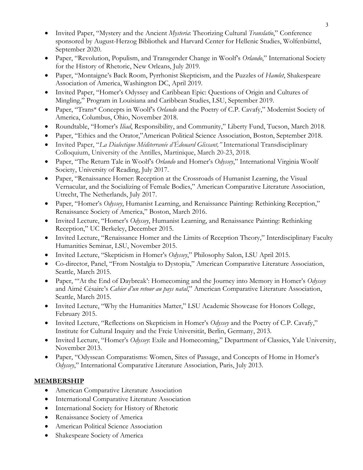- Invited Paper, "Mystery and the Ancient *Mysteria*: Theorizing Cultural *Translatio*," Conference sponsored by August-Herzog Bibliothek and Harvard Center for Hellenic Studies, Wolfenbüttel, September 2020.
- Paper, "Revolution, Populism, and Transgender Change in Woolf's *Orlando*," International Society for the History of Rhetoric, New Orleans, July 2019.
- Paper, "Montaigne's Back Room, Pyrrhonist Skepticism, and the Puzzles of *Hamlet*, Shakespeare Association of America, Washington DC, April 2019.
- Invited Paper, "Homer's Odyssey and Caribbean Epic: Questions of Origin and Cultures of Mingling," Program in Louisiana and Caribbean Studies, LSU, September 2019.
- • Paper, "Trans\* Concepts in Woolf's *Orlando* and the Poetry of C.P. Cavafy," Modernist Society of America, Columbus, Ohio, November 2018.
- Roundtable, "Homer's *Iliad*, Responsibility, and Community," Liberty Fund, Tucson, March 2018.
- Paper, "Ethics and the Orator,"American Political Science Association, Boston, September 2018.
- Invited Paper, "*La Dialectique Méditerranée d'Édouard Glissant,"* International Transdisciplinary Colloquium, University of the Antilles, Martinique, March 20-23, 2018.
- • Paper, "The Return Tale in Woolf's *Orlando* and Homer's *Odyssey*," International Virginia Woolf Society, University of Reading, July 2017.
- Paper, "Renaissance Homer: Reception at the Crossroads of Humanist Learning, the Visual Vernacular, and the Socializing of Female Bodies," American Comparative Literature Association, Utrecht, The Netherlands, July 2017.
- • Paper, "Homer's *Odyssey*, Humanist Learning, and Renaissance Painting: Rethinking Reception," Renaissance Society of America," Boston, March 2016.
- Invited Lecture, "Homer's *Odyssey*, Humanist Learning, and Renaissance Painting: Rethinking Reception," UC Berkeley, December 2015.
- Invited Lecture, "Renaissance Homer and the Limits of Reception Theory," Interdisciplinary Faculty Humanities Seminar, LSU, November 2015.
- Invited Lecture, "Skepticism in Homer's *Odyssey*," Philosophy Salon, LSU April 2015.
- Co-director, Panel, "From Nostalgia to Dystopia," American Comparative Literature Association, Seattle, March 2015.
- • Paper, "'At the End of Daybreak': Homecoming and the Journey into Memory in Homer's *Odyssey*  and Aimé Césaire's *Cahier d'un retour au pays natal*," American Comparative Literature Association, Seattle, March 2015.
- Invited Lecture, "Why the Humanities Matter," LSU Academic Showcase for Honors College, February 2015.
- • Invited Lecture, "Reflections on Skepticism in Homer's *Odyssey* and the Poetry of C.P. Cavafy," Institute for Cultural Inquiry and the Freie Universität, Berlin, Germany, 2013.
- Invited Lecture, "Homer's *Odyssey*: Exile and Homecoming," Department of Classics, Yale University, November 2013.
- *Odyssey*," International Comparative Literature Association, Paris, July 2013. • Paper, "Odyssean Comparatisms: Women, Sites of Passage, and Concepts of Home in Homer's

#### **MEMBERSHIP**

- American Comparative Literature Association
- International Comparative Literature Association
- International Society for History of Rhetoric
- Renaissance Society of America
- American Political Science Association
- Shakespeare Society of America